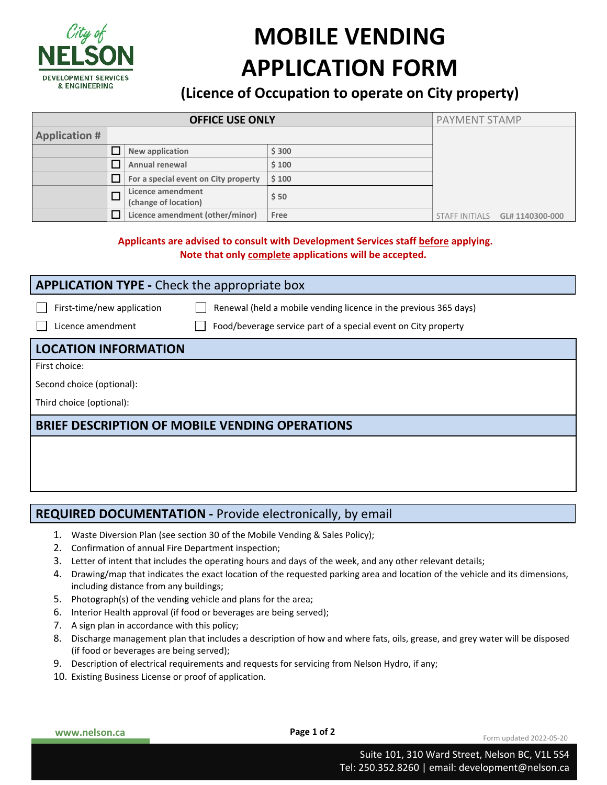

# **MOBILE VENDING APPLICATION FORM**

## **(Licence of Occupation to operate on City property)**

| <b>OFFICE USE ONLY</b> |        |                                           |       |  | <b>PAYMENT STAMP</b>                  |
|------------------------|--------|-------------------------------------------|-------|--|---------------------------------------|
| <b>Application #</b>   |        |                                           |       |  |                                       |
|                        |        | New application                           | \$300 |  |                                       |
|                        |        | Annual renewal                            | \$100 |  |                                       |
|                        |        | For a special event on City property      | \$100 |  |                                       |
|                        | $\Box$ | Licence amendment<br>(change of location) | \$50  |  |                                       |
|                        |        | Licence amendment (other/minor)           | Free  |  | STAFF INITIALS <b>GL# 1140300-000</b> |

#### **Applicants are advised to consult with Development Services staff before applying. Note that only complete applications will be accepted.**

| <b>APPLICATION TYPE - Check the appropriate box</b> |                                                                                                                                    |  |  |  |  |  |
|-----------------------------------------------------|------------------------------------------------------------------------------------------------------------------------------------|--|--|--|--|--|
| First-time/new application<br>Licence amendment     | Renewal (held a mobile vending licence in the previous 365 days)<br>Food/beverage service part of a special event on City property |  |  |  |  |  |
| <b>LOCATION INFORMATION</b>                         |                                                                                                                                    |  |  |  |  |  |
| First choice:                                       |                                                                                                                                    |  |  |  |  |  |

Second choice (optional):

Third choice (optional):

### **BRIEF DESCRIPTION OF MOBILE VENDING OPERATIONS**

### **REQUIRED DOCUMENTATION - Provide electronically, by email**

- 1. Waste Diversion Plan (see section 30 of the Mobile Vending & Sales Policy);
- 2. Confirmation of annual Fire Department inspection;
- 3. Letter of intent that includes the operating hours and days of the week, and any other relevant details;
- 4. Drawing/map that indicates the exact location of the requested parking area and location of the vehicle and its dimensions, including distance from any buildings;
- 5. Photograph(s) of the vending vehicle and plans for the area;
- 6. Interior Health approval (if food or beverages are being served);
- 7. A sign plan in accordance with this policy;
- 8. Discharge management plan that includes a description of how and where fats, oils, grease, and grey water will be disposed (if food or beverages are being served);
- 9. Description of electrical requirements and requests for servicing from Nelson Hydro, if any;
- 10. Existing Business License or proof of application.